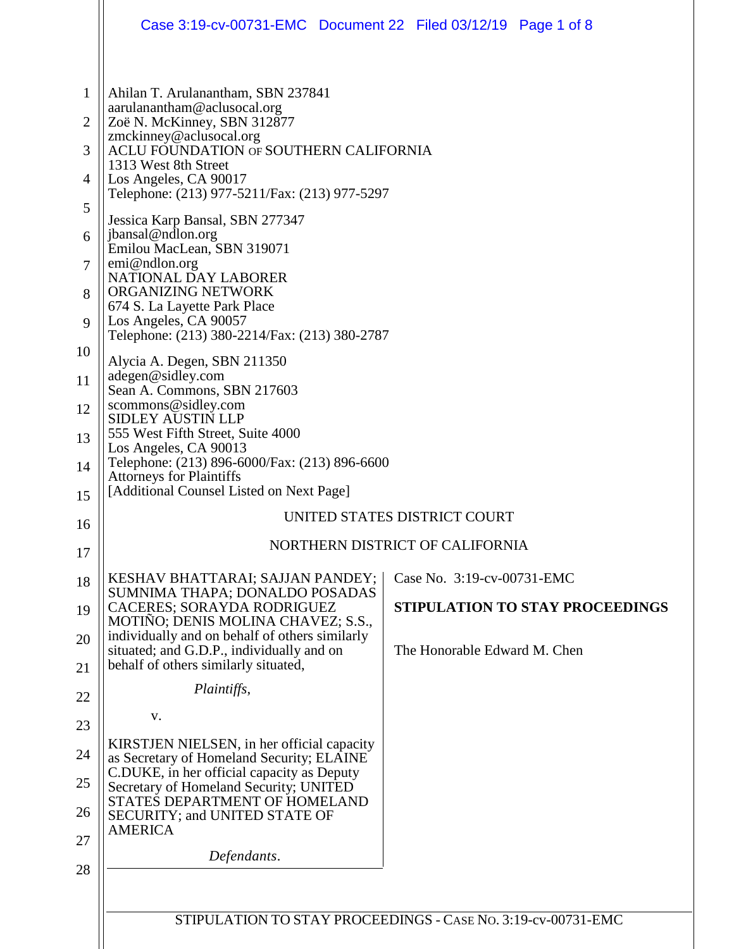|                                  | Case 3:19-cv-00731-EMC Document 22 Filed 03/12/19 Page 1 of 8                                                                                                                                                                                                                                              |                                                              |
|----------------------------------|------------------------------------------------------------------------------------------------------------------------------------------------------------------------------------------------------------------------------------------------------------------------------------------------------------|--------------------------------------------------------------|
| $\mathbf{1}$<br>2<br>3<br>4<br>5 | Ahilan T. Arulanantham, SBN 237841<br>aarulanantham@aclusocal.org<br>Zoë N. McKinney, SBN 312877<br>zmckinney@aclusocal.org<br>ACLU FOUNDATION OF SOUTHERN CALIFORNIA<br>1313 West 8th Street<br>Los Angeles, CA 90017<br>Telephone: (213) 977-5211/Fax: (213) 977-5297<br>Jessica Karp Bansal, SBN 277347 |                                                              |
| 6<br>$\tau$<br>8                 | jbansal@ndlon.org<br>Emilou MacLean, SBN 319071<br>emi@ndlon.org<br>NATIONAL DAY LABORER<br>ORGANIZING NETWORK                                                                                                                                                                                             |                                                              |
| 9                                | 674 S. La Layette Park Place<br>Los Angeles, CA 90057<br>Telephone: (213) 380-2214/Fax: (213) 380-2787                                                                                                                                                                                                     |                                                              |
| 10<br>11                         | Alycia A. Degen, SBN 211350<br>adegen@sidley.com                                                                                                                                                                                                                                                           |                                                              |
| 12                               | Sean A. Commons, SBN 217603<br>scommons@sidley.com<br><b>SIDLEY AUSTIN LLP</b>                                                                                                                                                                                                                             |                                                              |
| 13                               | 555 West Fifth Street, Suite 4000<br>Los Angeles, CA 90013                                                                                                                                                                                                                                                 |                                                              |
| 14                               | Telephone: (213) 896-6000/Fax: (213) 896-6600<br><b>Attorneys for Plaintiffs</b><br>[Additional Counsel Listed on Next Page]                                                                                                                                                                               |                                                              |
| 15<br>16                         |                                                                                                                                                                                                                                                                                                            | UNITED STATES DISTRICT COURT                                 |
| 17                               |                                                                                                                                                                                                                                                                                                            | NORTHERN DISTRICT OF CALIFORNIA                              |
| 18                               | KESHAV BHATTARAI; SAJJAN PANDEY;                                                                                                                                                                                                                                                                           | Case No. 3:19-cv-00731-EMC                                   |
| 19                               | SUMNIMA THAPA; DONALDO POSADAS<br><b>CACERES; SORAYDA RODRIGUEZ</b><br>MOTIÑO; DENIS MOLINA CHAVEZ; S.S.,                                                                                                                                                                                                  | STIPULATION TO STAY PROCEEDINGS                              |
| 20<br>21                         | individually and on behalf of others similarly<br>situated; and G.D.P., individually and on<br>behalf of others similarly situated,                                                                                                                                                                        | The Honorable Edward M. Chen                                 |
| 22                               | Plaintiffs,                                                                                                                                                                                                                                                                                                |                                                              |
| 23                               | V.                                                                                                                                                                                                                                                                                                         |                                                              |
| 24                               | KIRSTJEN NIELSEN, in her official capacity<br>as Secretary of Homeland Security; ELAINE                                                                                                                                                                                                                    |                                                              |
| 25                               | C.DUKE, in her official capacity as Deputy<br>Secretary of Homeland Security; UNITED<br>STATES DEPARTMENT OF HOMELAND                                                                                                                                                                                      |                                                              |
| 26                               | SECURITY; and UNITED STATE OF<br><b>AMERICA</b>                                                                                                                                                                                                                                                            |                                                              |
| 27                               | Defendants.                                                                                                                                                                                                                                                                                                |                                                              |
| 28                               |                                                                                                                                                                                                                                                                                                            |                                                              |
|                                  |                                                                                                                                                                                                                                                                                                            | STIPULATION TO STAY PROCEEDINGS - CASE No. 3:19-cv-00731-EMC |
|                                  |                                                                                                                                                                                                                                                                                                            |                                                              |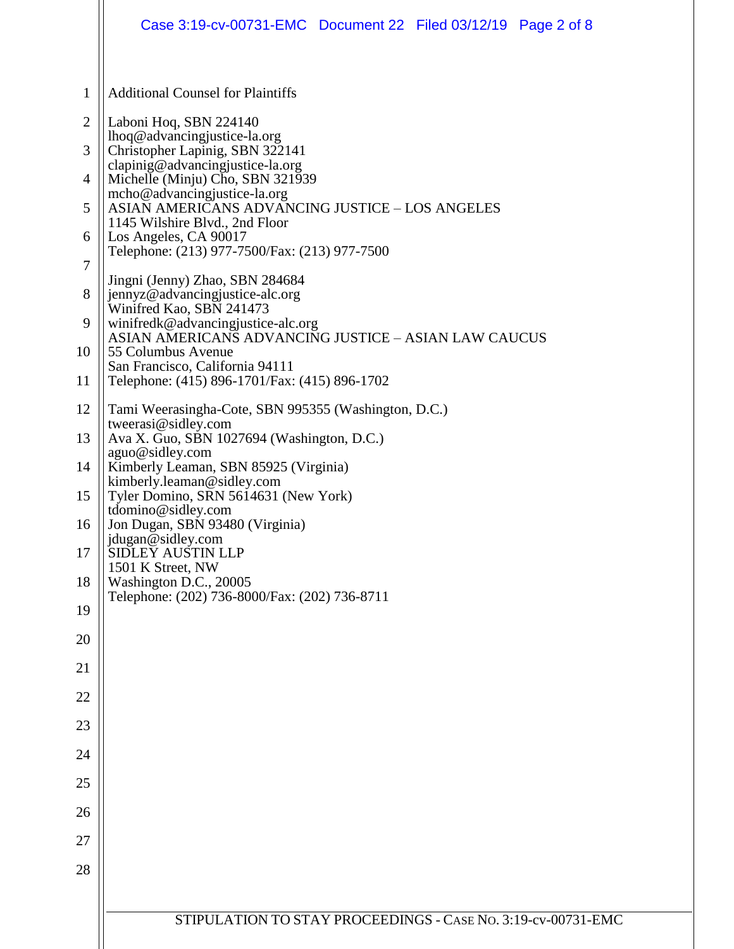|                                                                           | Case 3:19-cv-00731-EMC Document 22 Filed 03/12/19 Page 2 of 8                                                                                                                                                                                                                                                                                                                                                                                                                                                  |  |  |  |
|---------------------------------------------------------------------------|----------------------------------------------------------------------------------------------------------------------------------------------------------------------------------------------------------------------------------------------------------------------------------------------------------------------------------------------------------------------------------------------------------------------------------------------------------------------------------------------------------------|--|--|--|
| $\mathbf{1}$<br>$\overline{2}$<br>3<br>$\overline{4}$<br>5<br>6<br>7<br>8 | <b>Additional Counsel for Plaintiffs</b><br>Laboni Hoq, SBN 224140<br>lhoq@advancingjustice-la.org<br>Christopher Lapinig, SBN 322141<br>clapinig@advancingjustice-la.org<br>Michelle (Minju) Cho, SBN 321939<br>mcho@advancingjustice-la.org<br>ASIAN AMERICANS ADVANCING JUSTICE - LOS ANGELES<br>1145 Wilshire Blvd., 2nd Floor<br>Los Angeles, CA 90017<br>Telephone: (213) 977-7500/Fax: (213) 977-7500<br>Jingni (Jenny) Zhao, SBN 284684<br>jennyz@advancingjustice-alc.org<br>Winifred Kao, SBN 241473 |  |  |  |
| 9<br>10<br>11                                                             | winifredk@advancingjustice-alc.org<br>ASIAN AMERICANS ADVANCING JUSTICE - ASIAN LAW CAUCUS<br>55 Columbus Avenue<br>San Francisco, California 94111<br>Telephone: (415) 896-1701/Fax: (415) 896-1702                                                                                                                                                                                                                                                                                                           |  |  |  |
| 12<br>13<br>14<br>15<br>16<br>17                                          | Tami Weerasingha-Cote, SBN 995355 (Washington, D.C.)<br>tweerasi@sidley.com<br>Ava X. Guo, SBN 1027694 (Washington, D.C.)<br>aguo@sidley.com<br>Kimberly Leaman, SBN 85925 (Virginia)<br>kimberly.leaman@sidley.com<br>Tyler Domino, SRN 5614631 (New York)<br>tdomino@sidley.com<br>Jon Dugan, SBN 93480 (Virginia)<br>jdugan@sidley.com<br><b>SIDLEY AUSTIN LLP</b><br>1501 K Street, NW                                                                                                                     |  |  |  |
| 18<br>19                                                                  | Washington D.C., 20005<br>Telephone: (202) 736-8000/Fax: (202) 736-8711                                                                                                                                                                                                                                                                                                                                                                                                                                        |  |  |  |
| 20<br>21                                                                  |                                                                                                                                                                                                                                                                                                                                                                                                                                                                                                                |  |  |  |
| 22                                                                        |                                                                                                                                                                                                                                                                                                                                                                                                                                                                                                                |  |  |  |
| 23                                                                        |                                                                                                                                                                                                                                                                                                                                                                                                                                                                                                                |  |  |  |
| 24<br>25                                                                  |                                                                                                                                                                                                                                                                                                                                                                                                                                                                                                                |  |  |  |
| 26                                                                        |                                                                                                                                                                                                                                                                                                                                                                                                                                                                                                                |  |  |  |
| 27<br>28                                                                  |                                                                                                                                                                                                                                                                                                                                                                                                                                                                                                                |  |  |  |
|                                                                           | STIPULATION TO STAY PROCEEDINGS - CASE No. 3:19-cv-00731-EMC                                                                                                                                                                                                                                                                                                                                                                                                                                                   |  |  |  |
|                                                                           |                                                                                                                                                                                                                                                                                                                                                                                                                                                                                                                |  |  |  |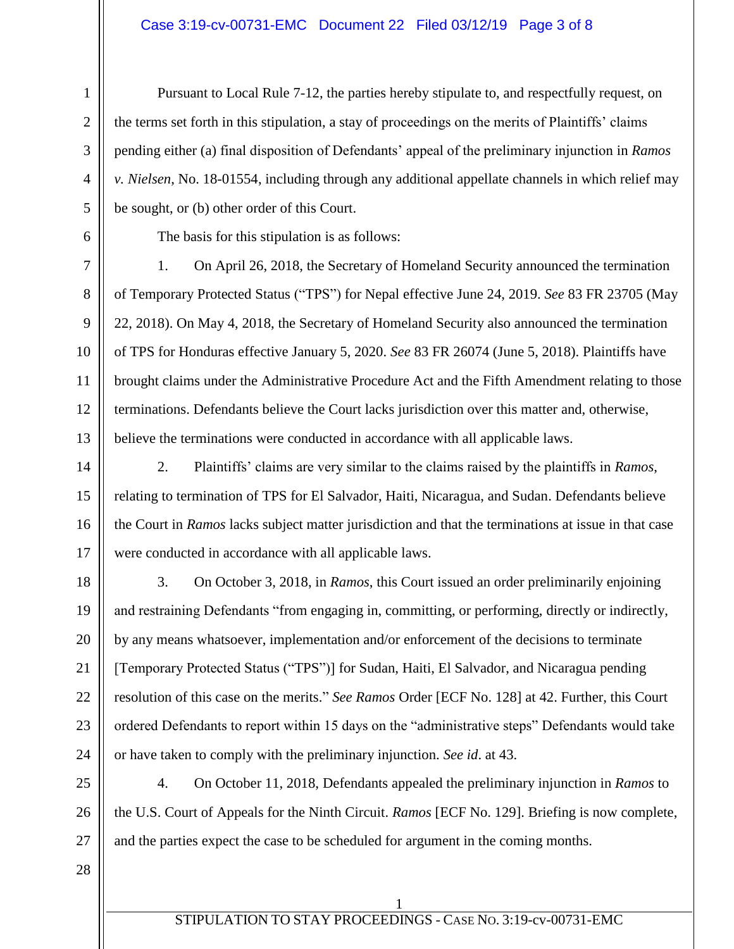#### Case 3:19-cv-00731-EMC Document 22 Filed 03/12/19 Page 3 of 8

Pursuant to Local Rule 7-12, the parties hereby stipulate to, and respectfully request, on the terms set forth in this stipulation, a stay of proceedings on the merits of Plaintiffs' claims pending either (a) final disposition of Defendants' appeal of the preliminary injunction in *Ramos v. Nielsen*, No. 18-01554, including through any additional appellate channels in which relief may be sought, or (b) other order of this Court.

1

2

3

4

5

6

7

8

9

10

11

12

13

14

15

16

17

18

19

20

21

22

23

24

The basis for this stipulation is as follows:

1. On April 26, 2018, the Secretary of Homeland Security announced the termination of Temporary Protected Status ("TPS") for Nepal effective June 24, 2019. *See* 83 FR 23705 (May 22, 2018). On May 4, 2018, the Secretary of Homeland Security also announced the termination of TPS for Honduras effective January 5, 2020. *See* 83 FR 26074 (June 5, 2018). Plaintiffs have brought claims under the Administrative Procedure Act and the Fifth Amendment relating to those terminations. Defendants believe the Court lacks jurisdiction over this matter and, otherwise, believe the terminations were conducted in accordance with all applicable laws.

2. Plaintiffs' claims are very similar to the claims raised by the plaintiffs in *Ramos*, relating to termination of TPS for El Salvador, Haiti, Nicaragua, and Sudan. Defendants believe the Court in *Ramos* lacks subject matter jurisdiction and that the terminations at issue in that case were conducted in accordance with all applicable laws.

3. On October 3, 2018, in *Ramos*, this Court issued an order preliminarily enjoining and restraining Defendants "from engaging in, committing, or performing, directly or indirectly, by any means whatsoever, implementation and/or enforcement of the decisions to terminate [Temporary Protected Status ("TPS")] for Sudan, Haiti, El Salvador, and Nicaragua pending resolution of this case on the merits." *See Ramos* Order [ECF No. 128] at 42. Further, this Court ordered Defendants to report within 15 days on the "administrative steps" Defendants would take or have taken to comply with the preliminary injunction. *See id*. at 43.

25 26 4. On October 11, 2018, Defendants appealed the preliminary injunction in *Ramos* to the U.S. Court of Appeals for the Ninth Circuit. *Ramos* [ECF No. 129]. Briefing is now complete, and the parties expect the case to be scheduled for argument in the coming months.

27 28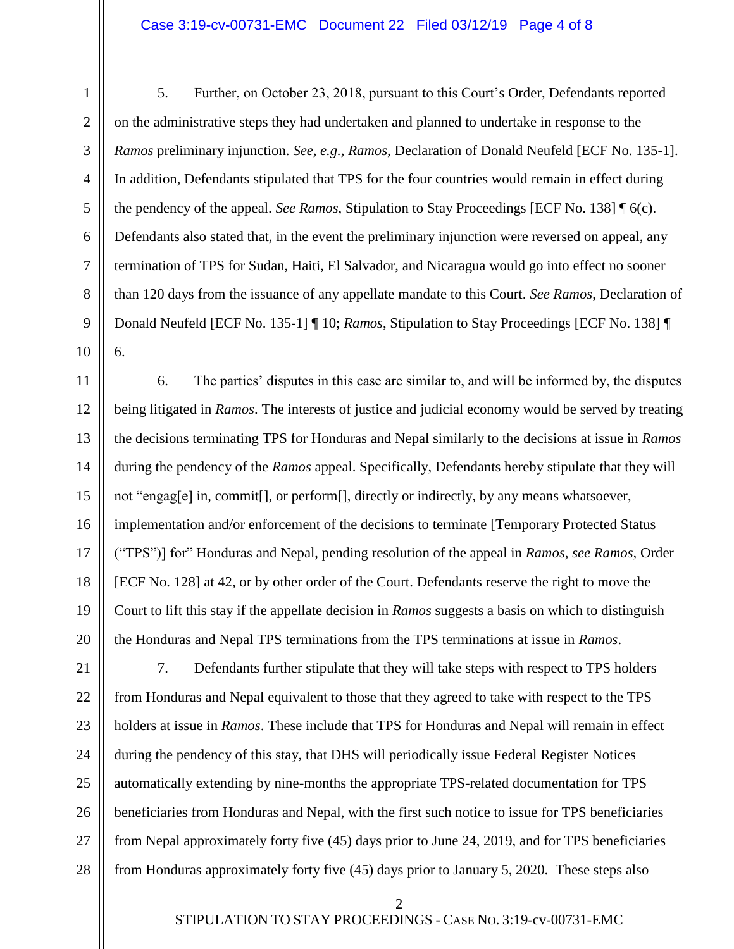### Case 3:19-cv-00731-EMC Document 22 Filed 03/12/19 Page 4 of 8

5. Further, on October 23, 2018, pursuant to this Court's Order, Defendants reported on the administrative steps they had undertaken and planned to undertake in response to the *Ramos* preliminary injunction. *See, e.g., Ramos*, Declaration of Donald Neufeld [ECF No. 135-1]. In addition, Defendants stipulated that TPS for the four countries would remain in effect during the pendency of the appeal. *See Ramos*, Stipulation to Stay Proceedings [ECF No. 138] ¶ 6(c). Defendants also stated that, in the event the preliminary injunction were reversed on appeal, any termination of TPS for Sudan, Haiti, El Salvador, and Nicaragua would go into effect no sooner than 120 days from the issuance of any appellate mandate to this Court. *See Ramos*, Declaration of Donald Neufeld [ECF No. 135-1] ¶ 10; *Ramos*, Stipulation to Stay Proceedings [ECF No. 138] ¶ 6.

6. The parties' disputes in this case are similar to, and will be informed by, the disputes being litigated in *Ramos*. The interests of justice and judicial economy would be served by treating the decisions terminating TPS for Honduras and Nepal similarly to the decisions at issue in *Ramos* during the pendency of the *Ramos* appeal. Specifically, Defendants hereby stipulate that they will not "engag[e] in, commit[], or perform[], directly or indirectly, by any means whatsoever, implementation and/or enforcement of the decisions to terminate [Temporary Protected Status ("TPS")] for" Honduras and Nepal, pending resolution of the appeal in *Ramos*, *see Ramos,* Order [ECF No. 128] at 42, or by other order of the Court. Defendants reserve the right to move the Court to lift this stay if the appellate decision in *Ramos* suggests a basis on which to distinguish the Honduras and Nepal TPS terminations from the TPS terminations at issue in *Ramos*.

7. Defendants further stipulate that they will take steps with respect to TPS holders from Honduras and Nepal equivalent to those that they agreed to take with respect to the TPS holders at issue in *Ramos*. These include that TPS for Honduras and Nepal will remain in effect during the pendency of this stay, that DHS will periodically issue Federal Register Notices automatically extending by nine-months the appropriate TPS-related documentation for TPS beneficiaries from Honduras and Nepal, with the first such notice to issue for TPS beneficiaries from Nepal approximately forty five (45) days prior to June 24, 2019, and for TPS beneficiaries from Honduras approximately forty five (45) days prior to January 5, 2020. These steps also

2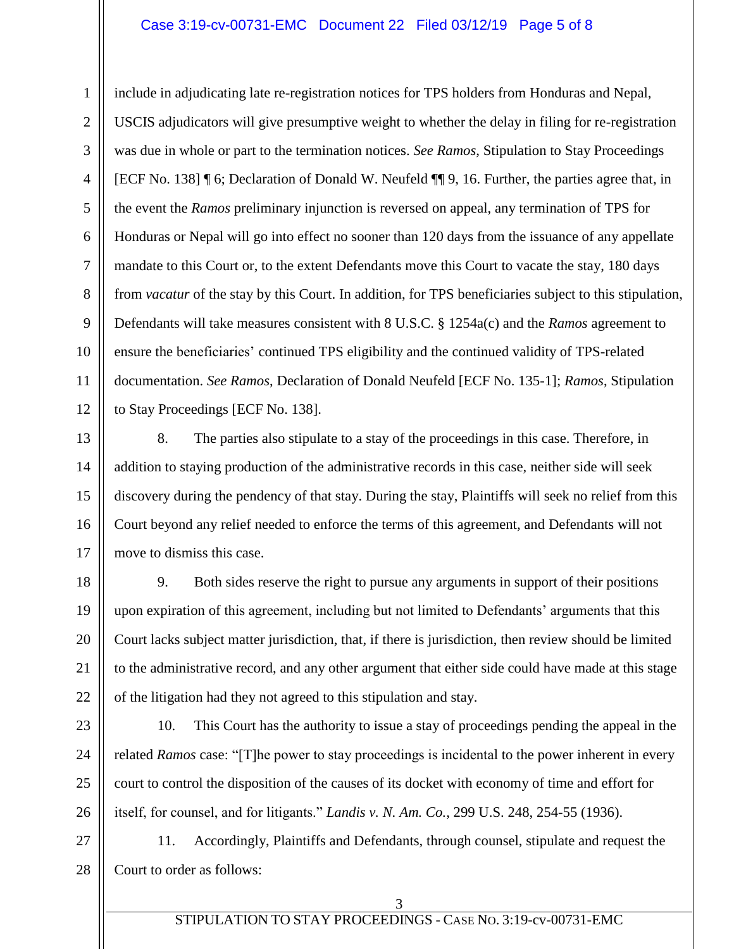### Case 3:19-cv-00731-EMC Document 22 Filed 03/12/19 Page 5 of 8

include in adjudicating late re-registration notices for TPS holders from Honduras and Nepal, USCIS adjudicators will give presumptive weight to whether the delay in filing for re-registration was due in whole or part to the termination notices. *See Ramos*, Stipulation to Stay Proceedings [ECF No. 138] ¶ 6; Declaration of Donald W. Neufeld ¶¶ 9, 16. Further, the parties agree that, in the event the *Ramos* preliminary injunction is reversed on appeal, any termination of TPS for Honduras or Nepal will go into effect no sooner than 120 days from the issuance of any appellate mandate to this Court or, to the extent Defendants move this Court to vacate the stay, 180 days from *vacatur* of the stay by this Court. In addition, for TPS beneficiaries subject to this stipulation, Defendants will take measures consistent with 8 U.S.C. § 1254a(c) and the *Ramos* agreement to ensure the beneficiaries' continued TPS eligibility and the continued validity of TPS-related documentation. *See Ramos*, Declaration of Donald Neufeld [ECF No. 135-1]; *Ramos*, Stipulation to Stay Proceedings [ECF No. 138].

8. The parties also stipulate to a stay of the proceedings in this case. Therefore, in addition to staying production of the administrative records in this case, neither side will seek discovery during the pendency of that stay. During the stay, Plaintiffs will seek no relief from this Court beyond any relief needed to enforce the terms of this agreement, and Defendants will not move to dismiss this case.

9. Both sides reserve the right to pursue any arguments in support of their positions upon expiration of this agreement, including but not limited to Defendants' arguments that this Court lacks subject matter jurisdiction, that, if there is jurisdiction, then review should be limited to the administrative record, and any other argument that either side could have made at this stage of the litigation had they not agreed to this stipulation and stay.

10. This Court has the authority to issue a stay of proceedings pending the appeal in the related *Ramos* case: "[T]he power to stay proceedings is incidental to the power inherent in every court to control the disposition of the causes of its docket with economy of time and effort for itself, for counsel, and for litigants." *Landis v. N. Am. Co.*, 299 U.S. 248, 254-55 (1936).

28 11. Accordingly, Plaintiffs and Defendants, through counsel, stipulate and request the Court to order as follows:

1

2

3

## STIPULATION TO STAY PROCEEDINGS - CASE NO. 3:19-cv-00731-EMC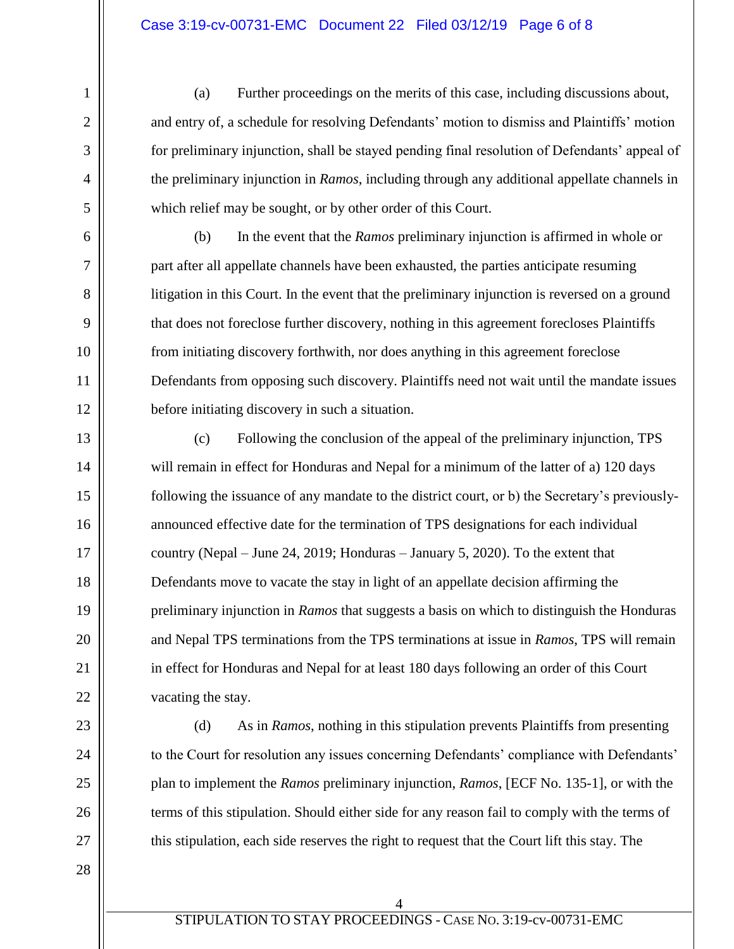(a) Further proceedings on the merits of this case, including discussions about, and entry of, a schedule for resolving Defendants' motion to dismiss and Plaintiffs' motion for preliminary injunction, shall be stayed pending final resolution of Defendants' appeal of the preliminary injunction in *Ramos*, including through any additional appellate channels in which relief may be sought, or by other order of this Court.

(b) In the event that the *Ramos* preliminary injunction is affirmed in whole or part after all appellate channels have been exhausted, the parties anticipate resuming litigation in this Court. In the event that the preliminary injunction is reversed on a ground that does not foreclose further discovery, nothing in this agreement forecloses Plaintiffs from initiating discovery forthwith, nor does anything in this agreement foreclose Defendants from opposing such discovery. Plaintiffs need not wait until the mandate issues before initiating discovery in such a situation.

(c) Following the conclusion of the appeal of the preliminary injunction, TPS will remain in effect for Honduras and Nepal for a minimum of the latter of a) 120 days following the issuance of any mandate to the district court, or b) the Secretary's previouslyannounced effective date for the termination of TPS designations for each individual country (Nepal – June 24, 2019; Honduras – January 5, 2020). To the extent that Defendants move to vacate the stay in light of an appellate decision affirming the preliminary injunction in *Ramos* that suggests a basis on which to distinguish the Honduras and Nepal TPS terminations from the TPS terminations at issue in *Ramos*, TPS will remain in effect for Honduras and Nepal for at least 180 days following an order of this Court vacating the stay.

(d) As in *Ramos*, nothing in this stipulation prevents Plaintiffs from presenting to the Court for resolution any issues concerning Defendants' compliance with Defendants' plan to implement the *Ramos* preliminary injunction, *Ramos*, [ECF No. 135-1], or with the terms of this stipulation. Should either side for any reason fail to comply with the terms of this stipulation, each side reserves the right to request that the Court lift this stay. The

1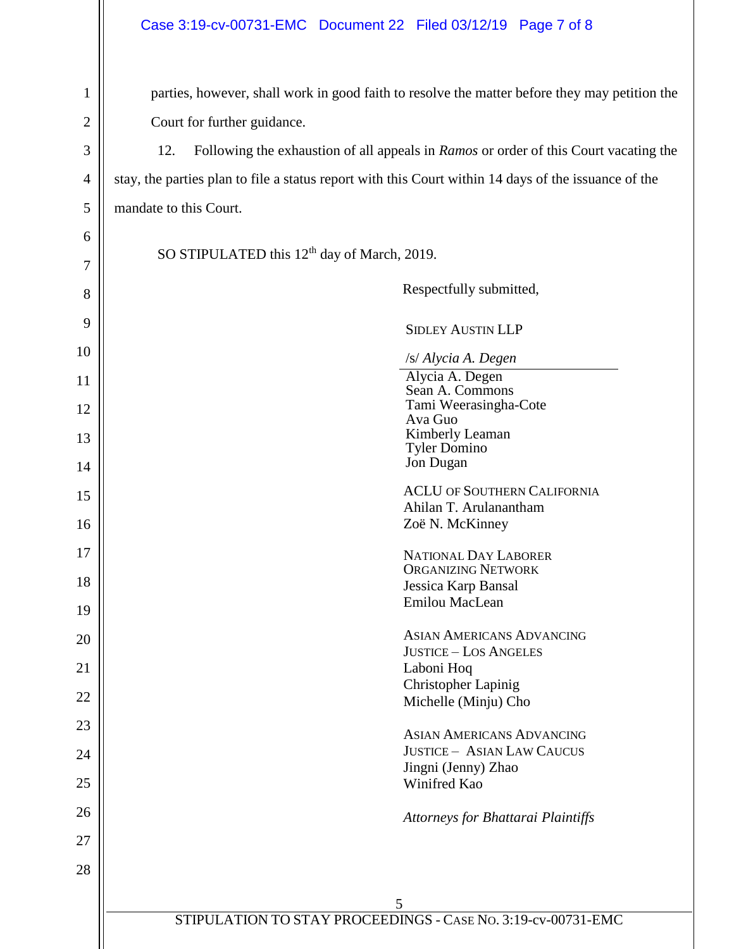# Case 3:19-cv-00731-EMC Document 22 Filed 03/12/19 Page 7 of 8

| $\mathbf{1}$   | parties, however, shall work in good faith to resolve the matter before they may petition the        |  |  |
|----------------|------------------------------------------------------------------------------------------------------|--|--|
| $\overline{c}$ | Court for further guidance.                                                                          |  |  |
| 3              | 12.<br>Following the exhaustion of all appeals in <i>Ramos</i> or order of this Court vacating the   |  |  |
| 4              | stay, the parties plan to file a status report with this Court within 14 days of the issuance of the |  |  |
| 5              | mandate to this Court.                                                                               |  |  |
| 6              |                                                                                                      |  |  |
| 7              | SO STIPULATED this 12 <sup>th</sup> day of March, 2019.                                              |  |  |
| 8              | Respectfully submitted,                                                                              |  |  |
| 9              | <b>SIDLEY AUSTIN LLP</b>                                                                             |  |  |
| 10             | /s/ Alycia A. Degen                                                                                  |  |  |
| 11             | Alycia A. Degen<br>Sean A. Commons                                                                   |  |  |
| 12             | Tami Weerasingha-Cote                                                                                |  |  |
|                | Ava Guo<br>Kimberly Leaman                                                                           |  |  |
| 13             | <b>Tyler Domino</b>                                                                                  |  |  |
| 14             | Jon Dugan                                                                                            |  |  |
| 15             | <b>ACLU OF SOUTHERN CALIFORNIA</b>                                                                   |  |  |
|                | Ahilan T. Arulanantham                                                                               |  |  |
| 16             | Zoë N. McKinney                                                                                      |  |  |
| 17             | <b>NATIONAL DAY LABORER</b>                                                                          |  |  |
| 18             | <b>ORGANIZING NETWORK</b><br>Jessica Karp Bansal                                                     |  |  |
|                | Emilou MacLean                                                                                       |  |  |
| 19             |                                                                                                      |  |  |
| 20             | <b>ASIAN AMERICANS ADVANCING</b>                                                                     |  |  |
| 21             | <b>JUSTICE - LOS ANGELES</b><br>Laboni Hoq                                                           |  |  |
|                | Christopher Lapinig                                                                                  |  |  |
| 22             | Michelle (Minju) Cho                                                                                 |  |  |
| 23             | <b>ASIAN AMERICANS ADVANCING</b>                                                                     |  |  |
| 24             | <b>JUSTICE - ASIAN LAW CAUCUS</b>                                                                    |  |  |
|                | Jingni (Jenny) Zhao                                                                                  |  |  |
| 25             | Winifred Kao                                                                                         |  |  |
| 26             | Attorneys for Bhattarai Plaintiffs                                                                   |  |  |
| 27             |                                                                                                      |  |  |
|                |                                                                                                      |  |  |
| 28             |                                                                                                      |  |  |
|                | 5                                                                                                    |  |  |
|                | STIPULATION TO STAY PROCEEDINGS - CASE No. 3:19-cv-00731-EMC                                         |  |  |
|                |                                                                                                      |  |  |